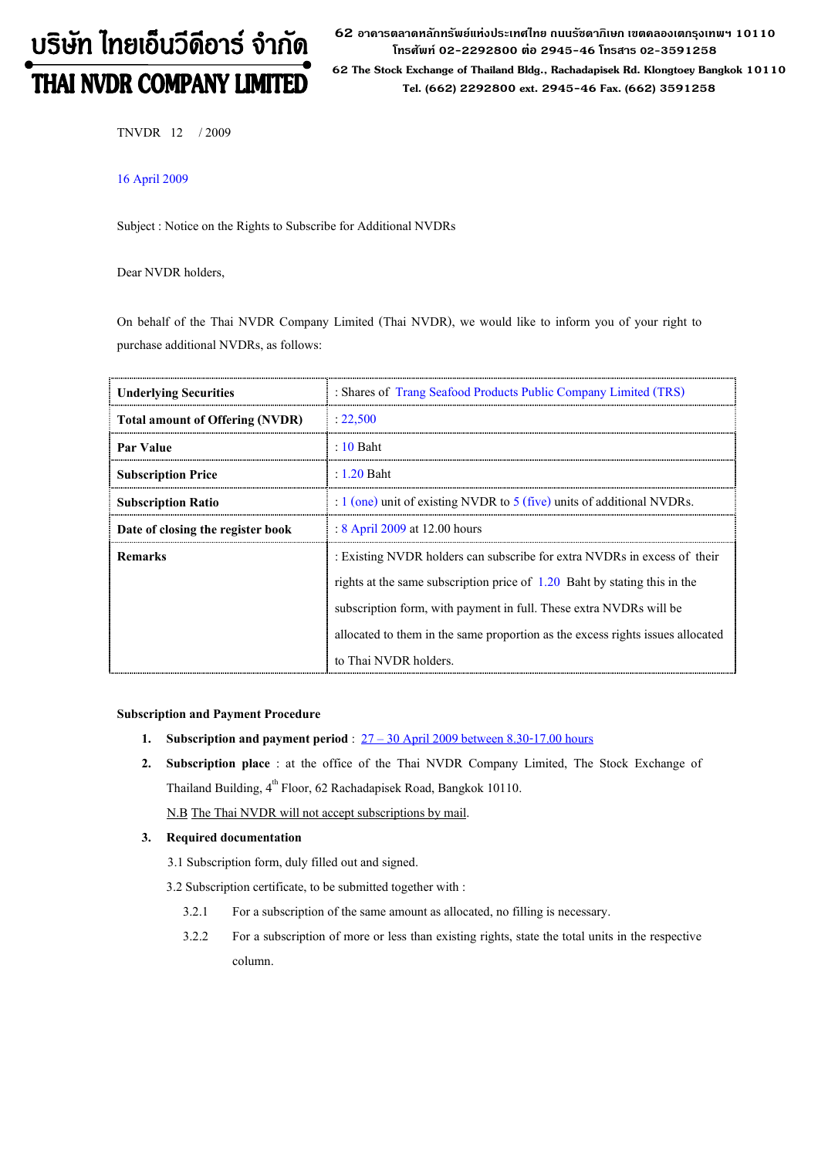# บริษัท ไทยเอ็นวีดีอาร์ จำกัด THAI NVDR COMPANY LIMITED

 $\bf 62$  อาดารตลาดหลักทรัพย์แห่งประเทศไทย ถนนรัชดาภิเษก เขตดลองเตกรุงเทพฯ 10110 โทรศัพท์ 02-2292800 ต่อ 2945-46 โทรสาร 02-3591258 62 The Stock Exchange of Thailand Bldg., Rachadapisek Rd. Klongtoey Bangkok 10110 Tel. (662) 2292800 ext. 2945-46 Fax. (662) 3591258

TNVDR 12 / 2009

# 16 April 2009

Subject : Notice on the Rights to Subscribe for Additional NVDRs

Dear NVDR holders,

On behalf of the Thai NVDR Company Limited (Thai NVDR), we would like to inform you of your right to purchase additional NVDRs, as follows:

| <b>Underlying Securities</b>           | : Shares of Trang Seafood Products Public Company Limited (TRS)                |  |
|----------------------------------------|--------------------------------------------------------------------------------|--|
| <b>Total amount of Offering (NVDR)</b> | : 22.500                                                                       |  |
| Par Value                              | $\pm 10$ Baht                                                                  |  |
| <b>Subscription Price</b>              | $: 1.20$ Baht                                                                  |  |
| <b>Subscription Ratio</b>              | : 1 (one) unit of existing NVDR to 5 (five) units of additional NVDRs.         |  |
| Date of closing the register book      | : 8 April 2009 at 12.00 hours                                                  |  |
| <b>Remarks</b>                         | : Existing NVDR holders can subscribe for extra NVDRs in excess of their       |  |
|                                        | rights at the same subscription price of 1.20 Baht by stating this in the      |  |
|                                        | subscription form, with payment in full. These extra NVDRs will be             |  |
|                                        | allocated to them in the same proportion as the excess rights issues allocated |  |
|                                        | to Thai NVDR holders.                                                          |  |

## Subscription and Payment Procedure

- 1. Subscription and payment period :  $27 30$  April 2009 between 8.30-17.00 hours
- 2. Subscription place : at the office of the Thai NVDR Company Limited, The Stock Exchange of Thailand Building, 4<sup>th</sup> Floor, 62 Rachadapisek Road, Bangkok 10110.

N.B The Thai NVDR will not accept subscriptions by mail.

## 3. Required documentation

3.1 Subscription form, duly filled out and signed.

3.2 Subscription certificate, to be submitted together with :

- 3.2.1 For a subscription of the same amount as allocated, no filling is necessary.
- 3.2.2 For a subscription of more or less than existing rights, state the total units in the respective column.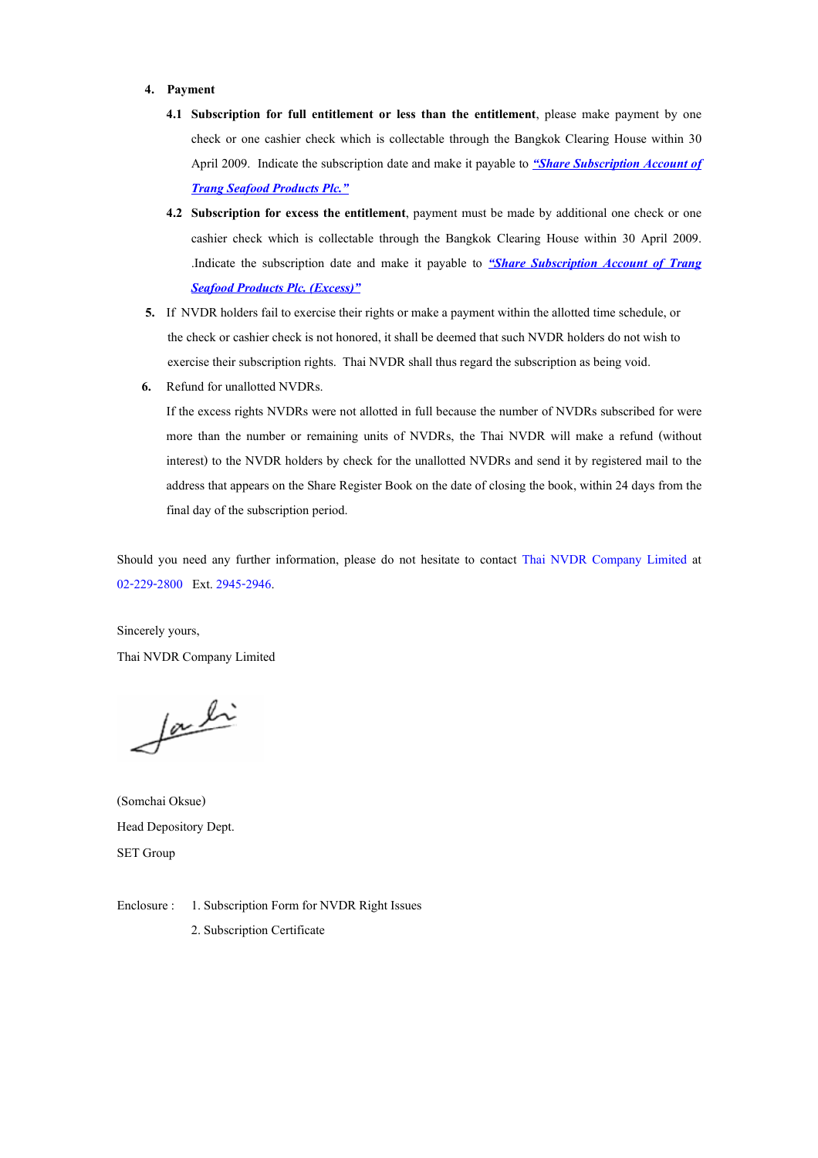#### 4. Payment

- 4.1 Subscription for full entitlement or less than the entitlement, please make payment by one check or one cashier check which is collectable through the Bangkok Clearing House within 30 April 2009. Indicate the subscription date and make it payable to *"Share Subscription Account of* **Trang Seafood Products Plc."**
- 4.2 Subscription for excess the entitlement, payment must be made by additional one check or one cashier check which is collectable through the Bangkok Clearing House within 30 April 2009. Indicate the subscription date and make it payable to *"Share Subscription Account of Trang* **Seafood Products Plc. (Excess)"**
- 5. If NVDR holders fail to exercise their rights or make a payment within the allotted time schedule, or the check or cashier check is not honored, it shall be deemed that such NVDR holders do not wish to exercise their subscription rights. Thai NVDR shall thus regard the subscription as being void.
- 6. Refund for unallotted NVDRs.

If the excess rights NVDRs were not allotted in full because the number of NVDRs subscribed for were more than the number or remaining units of NVDRs, the Thai NVDR will make a refund (without interest) to the NVDR holders by check for the unallotted NVDRs and send it by registered mail to the address that appears on the Share Register Book on the date of closing the book, within 24 days from the final day of the subscription period.

Should you need any further information, please do not hesitate to contact Thai NVDR Company Limited at 02-229-2800 Ext. 2945-2946.

Sincerely yours, Thai NVDR Company Limited

facti

(Somchai Oksue) Head Depository Dept. SET Group

Enclosure : 1. Subscription Form for NVDR Right Issues 2. Subscription Certificate